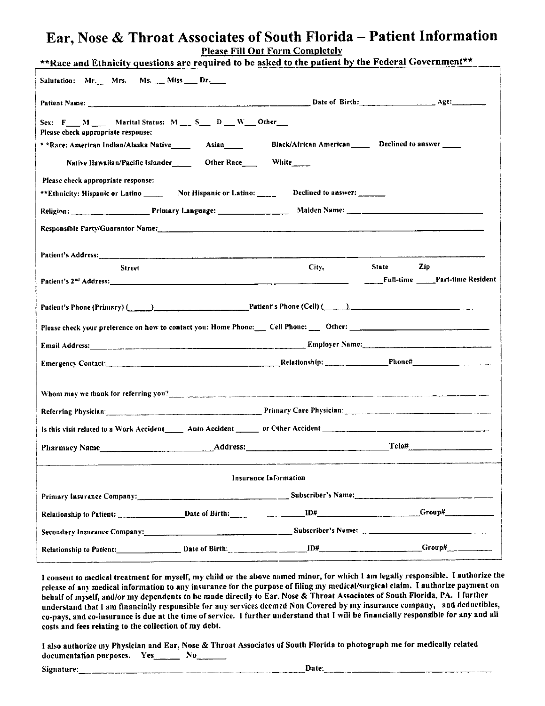# Ear, Nose & Throat Associates of South Florida - Patient Information **Please Fill Out Form Completely**

| Salutation: Mr. Mrs. Ms. Miss Dr.                                                                                                                                                                                              |  |  |  |  |  |  |
|--------------------------------------------------------------------------------------------------------------------------------------------------------------------------------------------------------------------------------|--|--|--|--|--|--|
|                                                                                                                                                                                                                                |  |  |  |  |  |  |
|                                                                                                                                                                                                                                |  |  |  |  |  |  |
|                                                                                                                                                                                                                                |  |  |  |  |  |  |
|                                                                                                                                                                                                                                |  |  |  |  |  |  |
|                                                                                                                                                                                                                                |  |  |  |  |  |  |
|                                                                                                                                                                                                                                |  |  |  |  |  |  |
|                                                                                                                                                                                                                                |  |  |  |  |  |  |
|                                                                                                                                                                                                                                |  |  |  |  |  |  |
|                                                                                                                                                                                                                                |  |  |  |  |  |  |
|                                                                                                                                                                                                                                |  |  |  |  |  |  |
| Patient's 2 <sup>nd</sup> Address: Part-time Resident                                                                                                                                                                          |  |  |  |  |  |  |
| Patient's Phone (Primary) (Called Letter Contract Departure Patient's Phone (Cell) (Called Letter Departure Patient's Phone (Cell) (Called Letter Departure Departure Departure Departure Departure Departure Departure Depart |  |  |  |  |  |  |
| Please check your preference on how to contact you: Home Phone: Cell Phone: 0ther: 0ther: 0ther: 0ther: 0ther: 0ther: 0ther: 0ther: 0ther: 0ther: 0ther: 0ther: 0ther: 0ther: 0ther: 0ther: 0ther: 0ther: 0ther: 0ther: 0ther: |  |  |  |  |  |  |
| Email Address: 1988 Contract to the Contract of Contract Contract of Contract Contract Contract Contract Contract Contract Contract Contract Contract Contract Contract Contract Contract Contract Contract Contract Contract  |  |  |  |  |  |  |
| Emergency Contact: Phone# Phone# Phone# Phone# Phone# Phone# Phone# Phone# Phone# Phone# Phone# Phone# Phone# Phone# Phone# Phone# Phone# Phone# Phone# Phone# Phone# Phone# Phone# Phone# Phone# Phone# Phone# Phone# Phone#  |  |  |  |  |  |  |
| Whom may we thank for referring you? Notify the control of the control of the control of the control of the control of the control of the control of the control of the control of the control of the control of the control o |  |  |  |  |  |  |
| Referring Physician: Physician: Primary Care Physician: Primary Care Physician:                                                                                                                                                |  |  |  |  |  |  |
|                                                                                                                                                                                                                                |  |  |  |  |  |  |
|                                                                                                                                                                                                                                |  |  |  |  |  |  |
| Pharmacy Name etal Manual Communication and Address: Communication and Teleff                                                                                                                                                  |  |  |  |  |  |  |
| Insurance Information                                                                                                                                                                                                          |  |  |  |  |  |  |
|                                                                                                                                                                                                                                |  |  |  |  |  |  |
|                                                                                                                                                                                                                                |  |  |  |  |  |  |
| Secondary Insurance Company: Subscriber's Name: Subscriber's Name:                                                                                                                                                             |  |  |  |  |  |  |
| Relationship to Patient: Date of Birth: Date of Birth: Dental Manuscription of Birth Crown and Diff                                                                                                                            |  |  |  |  |  |  |
| Religion: Primary Language: Malden Name: 2008. Malden Nume: 2008. Malden Name: 2008. Malden Name: 2008. Malden                                                                                                                 |  |  |  |  |  |  |

I consent to medical treatment for myself, my child or the above named minor, for which I am legally responsible. I authorize the release of any medical information to any insurance for the purpose of filing my medical/surgical claim. I authorize payment on behalf of myself, and/or my dependents to be made directly to Ear. Nose & Throat Associates of South Florida, PA. I further understand that I am financially responsible for any services deemed Non Covered by my insurance company, and deductibles, co-pays, and co-insurance is due at the time of service. I further understand that I will be financially responsible for any and all costs and fees relating to the collection of my debt.

I also authorize my Physician and Ear, Nose & Throat Associates of South Florida to photograph me for medically related documentation purposes. Yes\_\_\_\_\_\_\_\_ No\_\_\_\_\_\_\_

Signature: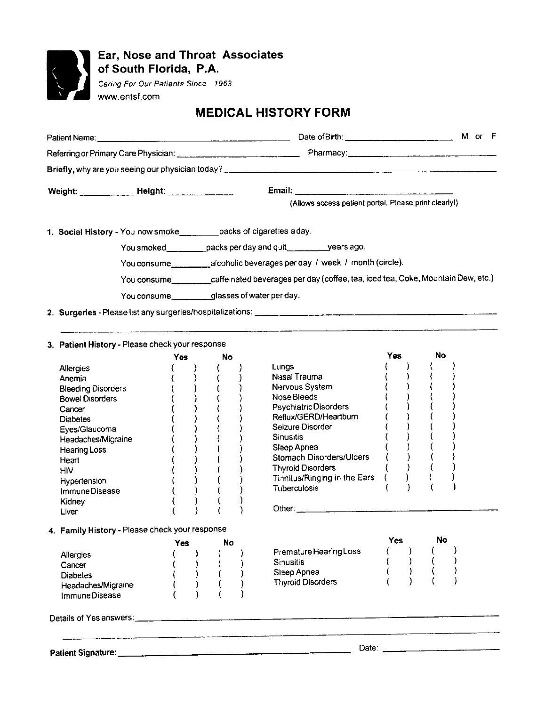

# Ear, Nose and Throat Associates<br>of South Florida, P.A.

Caring For Our Patients Since 1963 www.entsf.com

# **MEDICAL HISTORY FORM**

| Patient Name: The Contract of the Contract of the Contract of the Contract of the Contract of the Contract of |  |     |                                                                                             |    |  |                                                       |            |  |    |  |
|---------------------------------------------------------------------------------------------------------------|--|-----|---------------------------------------------------------------------------------------------|----|--|-------------------------------------------------------|------------|--|----|--|
|                                                                                                               |  |     |                                                                                             |    |  |                                                       |            |  |    |  |
|                                                                                                               |  |     |                                                                                             |    |  |                                                       |            |  |    |  |
|                                                                                                               |  |     |                                                                                             |    |  |                                                       |            |  |    |  |
| Weight: ____________ Height: ______________                                                                   |  |     |                                                                                             |    |  |                                                       |            |  |    |  |
|                                                                                                               |  |     |                                                                                             |    |  | (Allows access patient portal. Please print clearly!) |            |  |    |  |
| 1. Social History - You now smoke__________packs of cigarettes aday.                                          |  |     |                                                                                             |    |  |                                                       |            |  |    |  |
|                                                                                                               |  |     | You smoked__________packs per day and quit____________years ago.                            |    |  |                                                       |            |  |    |  |
|                                                                                                               |  |     | You consume____________alcoholic beverages per day / week / month (circle).                 |    |  |                                                       |            |  |    |  |
|                                                                                                               |  |     | You consume caffeinated beverages per day (coffee, tea, iced tea, Coke, Mountain Dew, etc.) |    |  |                                                       |            |  |    |  |
|                                                                                                               |  |     |                                                                                             |    |  | You consume___________glasses of water per day.       |            |  |    |  |
|                                                                                                               |  |     |                                                                                             |    |  |                                                       |            |  |    |  |
|                                                                                                               |  |     |                                                                                             |    |  |                                                       |            |  |    |  |
| 3. Patient History - Please check your response                                                               |  |     |                                                                                             |    |  |                                                       |            |  |    |  |
|                                                                                                               |  | Yes |                                                                                             | No |  |                                                       | Yes        |  | No |  |
| <b>Allergies</b>                                                                                              |  |     |                                                                                             |    |  | Lungs                                                 |            |  |    |  |
| Anemia                                                                                                        |  |     |                                                                                             |    |  | Nasal Trauma                                          |            |  |    |  |
| <b>Bleeding Disorders</b>                                                                                     |  |     |                                                                                             |    |  | Nervous System                                        |            |  |    |  |
| <b>Bowel Disorders</b>                                                                                        |  |     |                                                                                             |    |  | Nose Bleeds                                           |            |  |    |  |
| Cancer                                                                                                        |  |     |                                                                                             |    |  | Psychiatric Disorders                                 |            |  |    |  |
| <b>Diabetes</b>                                                                                               |  |     |                                                                                             |    |  | Reflux/GERD/Heartburn                                 |            |  |    |  |
| Eyes/Glaucoma                                                                                                 |  |     |                                                                                             |    |  | Seizure Disorder                                      |            |  |    |  |
| Headaches/Migraine                                                                                            |  |     |                                                                                             |    |  | <b>Sinusitis</b>                                      |            |  |    |  |
| <b>Hearing Loss</b>                                                                                           |  |     |                                                                                             |    |  | Sleep Apnea                                           |            |  |    |  |
| Heart                                                                                                         |  |     |                                                                                             |    |  | Stomach Disorders/Ulcers                              |            |  |    |  |
| <b>HIV</b>                                                                                                    |  |     |                                                                                             |    |  | <b>Thyroid Disorders</b>                              |            |  |    |  |
| Hypertension                                                                                                  |  |     |                                                                                             |    |  | Tinnitus/Ringing in the Ears (                        |            |  |    |  |
| ImmuneDisease                                                                                                 |  |     |                                                                                             |    |  | <b>Tuberculosis</b>                                   |            |  |    |  |
| Kidney                                                                                                        |  |     |                                                                                             |    |  |                                                       |            |  |    |  |
| Liver                                                                                                         |  |     |                                                                                             |    |  |                                                       |            |  |    |  |
| 4. Family History - Please check your response                                                                |  |     |                                                                                             |    |  |                                                       |            |  |    |  |
|                                                                                                               |  | Yes |                                                                                             | No |  |                                                       | <b>Yes</b> |  | No |  |
| Allergies                                                                                                     |  |     |                                                                                             |    |  | Premature Hearing Loss                                |            |  |    |  |
| Cancer                                                                                                        |  |     |                                                                                             |    |  | Sinusitis                                             |            |  |    |  |
| <b>Diabetes</b>                                                                                               |  |     |                                                                                             |    |  | Sleep Apnea<br><b>Thyroid Disorders</b>               |            |  |    |  |
| Headaches/Migraine                                                                                            |  |     |                                                                                             |    |  |                                                       |            |  |    |  |
| ImmuneDisease                                                                                                 |  |     |                                                                                             |    |  |                                                       |            |  |    |  |
|                                                                                                               |  |     |                                                                                             |    |  |                                                       |            |  |    |  |
|                                                                                                               |  |     |                                                                                             |    |  |                                                       |            |  |    |  |
|                                                                                                               |  |     |                                                                                             |    |  |                                                       |            |  |    |  |
|                                                                                                               |  |     |                                                                                             |    |  |                                                       |            |  |    |  |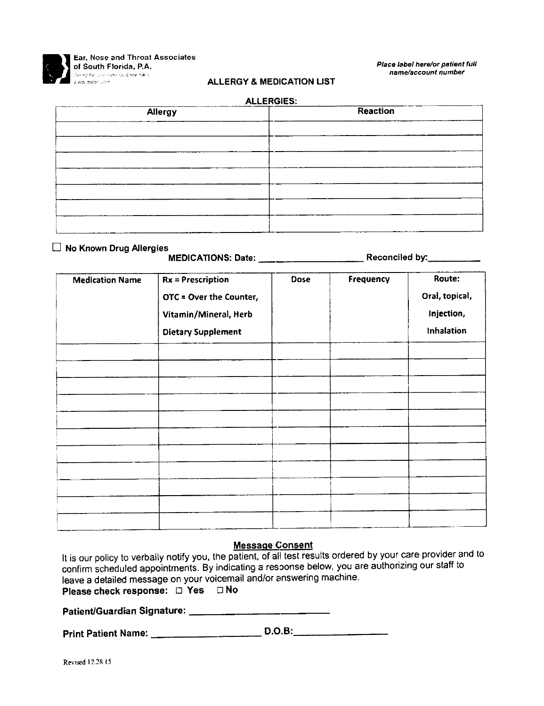

Ear, Nose and Throat Associates of South Florida, P.A. La dole worker colle-

Place label here/or patient full name/account number

### **ALLERGY & MEDICATION LIST**  $\cdots$

| ALLERGIES:     |          |  |  |  |  |
|----------------|----------|--|--|--|--|
| <b>Allergy</b> | Reaction |  |  |  |  |
|                |          |  |  |  |  |
|                |          |  |  |  |  |
|                |          |  |  |  |  |
|                |          |  |  |  |  |
|                |          |  |  |  |  |
|                |          |  |  |  |  |
|                |          |  |  |  |  |
|                |          |  |  |  |  |

#### □ No Known Drug Allergies

#### 

| <b>Medication Name</b> | $Rx =$ Prescription<br>OTC = Over the Counter,<br>Vitamin/Mineral, Herb<br><b>Dietary Supplement</b> | <b>Dose</b> | Frequency | Route:<br>Oral, topical,<br>Injection,<br>Inhalation |
|------------------------|------------------------------------------------------------------------------------------------------|-------------|-----------|------------------------------------------------------|
|                        |                                                                                                      |             |           |                                                      |
|                        |                                                                                                      |             |           |                                                      |
|                        |                                                                                                      |             |           |                                                      |

#### **Message Consent**

It is our policy to verbally notify you, the patient, of all test results ordered by your care provider and to confirm scheduled appointments. By indicating a resoonse below, you are authorizing our staff to leave a detailed message on your voicemail and/or answering machine. Please check response: D Yes D No

Patient/Guardian Signature: \_\_\_\_\_\_\_\_\_\_\_\_\_\_\_\_\_\_\_\_\_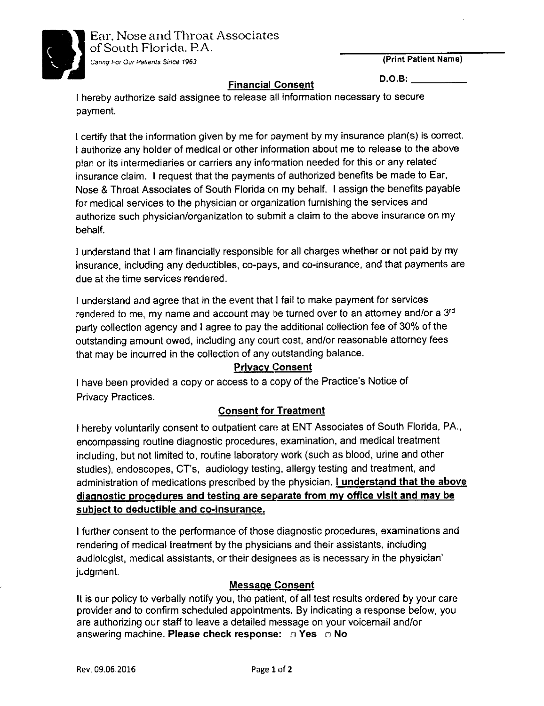

# D.O.B: FinanciaI Consent

I hereby authorize said assignee to release all information necessary to secure payment.

I certify that the information given by me for payment by my insurance plan(s) is correct I authorize any holder of medical or other inlormation about me to release to the above plan or its intermediaries or carriers any infomation needed for this or any related insurance claim. I request that the payments of authorized benefits be made to Ear, Nose & Throat Associates of South Florida on my behalf. I assign the benefits payable for medical services to the physician or organization furnishing the services and authorize such physician/organization to submit a claim to the above insurance on my behalf.

I understand that I am financially responsible for all charges whether or not paid by my insurance, including any deductibles, co-pays, and co-insurance, and that payments are due at the time services rendered.

I understand and agree that in the event that I fail to make payment for services rendered to me, my name and account may be turned over to an attorney and/or a 3<sup>rd</sup> party collection agency and I agree to pay the additional collection fee of 30% of the outstanding amount owed, including any court cost, and/or reasonable attorney fees that may be incurred in the collection of any outstanding balance.

# Privacy Consent

<sup>I</sup>have been provided a copy or access to a copy of the Practice's Notice of Privacy Practices.

# **Consent for Treatment**

I hereby voluntarily consent to outpatient care at ENT Associates of South Florida, PA.' encompassing routine diagnostic procedures, examination, and medical treatment including, but not limited to, routine laboratory work (such as blood, urine and other studies), endoscopes, CT's, audiology testing, allergy testing and treatment, and administration of medications prescribed by the physician. I understand that the above diagnostic procedures and testing are separate from my office visit and may be subject to deductible and co-insurance.

I further consent to the performance of those diagnostic procedures, examinations and rendering of medical treatment by the physicians and their assistants, including audiologist, medical assistants, ortheir designees as is necessary in the physician' judgment.

# Messaqe Consent

It is our policy to verbally notify you, the patient, of all test results ordered by your care provider and to confirm scheduled appointments. By indicating a response below, you are authorizing our staff lo leave a detailed message on your voicemail and/or answering machine. Please check response:  $\Box$  Yes  $\Box$  No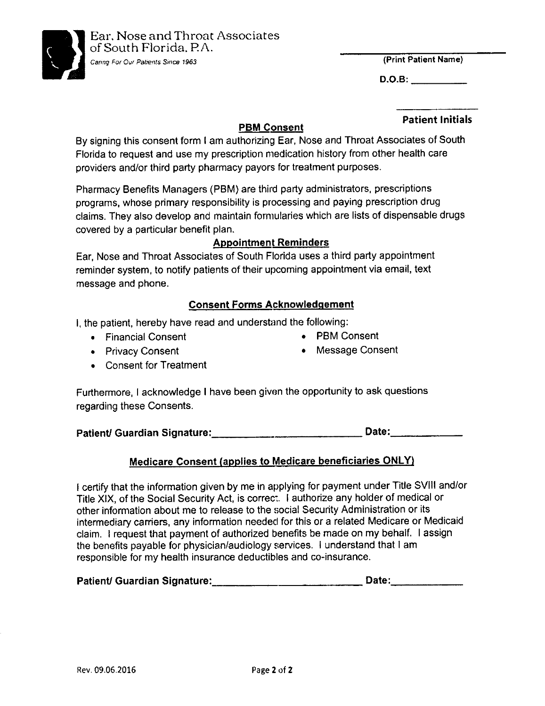

D.O.B:

### PBM Consent

#### Patient lnitials

By signing this consent form I am authorizing Ear, Nose and Throat Associates of South Florida to request and use my prescription medication history from other health care providers and/or third party pharmacy payors for treatment purposes.

Pharmacy Benefits Managers (PBM) are third party administrators, prescriptions programs, whose primary responsibility is processing and paying prescription drug claims. They also develop and maintain formularies which are lists of dispensable drugs covered by a particular benefit plan.

### **Appointment Reminders**

Ear, Nose and Throat Associates of South Florida uses a third party appointment reminder system, to notify patients of their upcoming appointment via email, text message and phone.

## **Consent Forms Acknowledgement**

I, the patient, hereby have read and understand the following:

- Financial Consent **of Consent of PBM Consent**
- Privacy Consent . Message Consent
- . Consent for Treatment

Furthermore, I acknowledge I have been given the opportunity to ask questions regarding these Consents.

Patient/ Guardian Signature: Date: Date: Date:

### Medicare Consent (applies to Medicare beneficiaries ONLY)

I certify that the information given by me in applying for payment under Title SVlll and/or Title XlX, of the Social Security Act, is correc:. I authorize any holder of medical or other information about me to release to the social Security Administration or its intermediary carriers, any information needed for this or a related Medicare or Medicaid claim. I request that payment of authorized benefits be made on my behalf. I assign the benefits payable for physician/audiology services. I understand that I am responsible for my health insurance deductibles and co-insurance.

| Patient/ Guardian Signature: | <b>Date:</b> |
|------------------------------|--------------|
|------------------------------|--------------|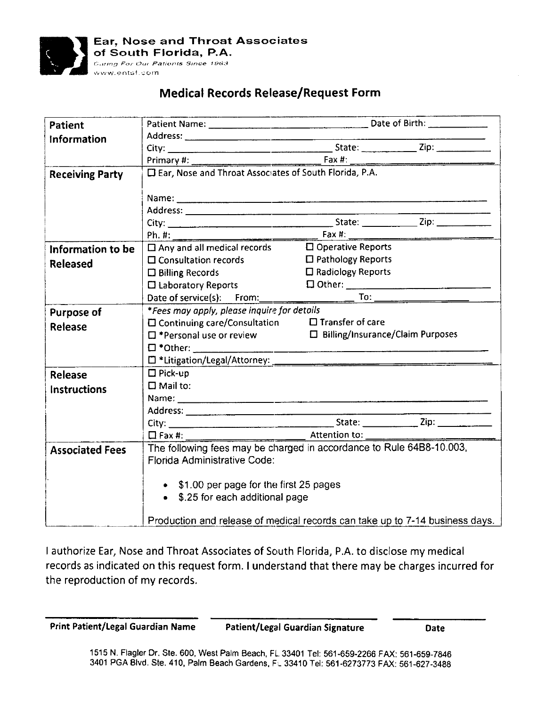

# Medical Records Release/Request Form

| <b>Patient</b>         |                                                                                                                |                             |  |  |  |  |
|------------------------|----------------------------------------------------------------------------------------------------------------|-----------------------------|--|--|--|--|
| Information            |                                                                                                                |                             |  |  |  |  |
|                        |                                                                                                                |                             |  |  |  |  |
|                        |                                                                                                                |                             |  |  |  |  |
| <b>Receiving Party</b> | □ Ear, Nose and Throat Associates of South Florida, P.A.                                                       |                             |  |  |  |  |
|                        |                                                                                                                |                             |  |  |  |  |
|                        |                                                                                                                |                             |  |  |  |  |
|                        |                                                                                                                |                             |  |  |  |  |
|                        |                                                                                                                |                             |  |  |  |  |
|                        |                                                                                                                |                             |  |  |  |  |
| Information to be      | $\Box$ Any and all medical records $\Box$ Operative Reports                                                    |                             |  |  |  |  |
| <b>Released</b>        | $\Box$ Consultation records                                                                                    | $\Box$ Pathology Reports    |  |  |  |  |
|                        | $\square$ Billing Records                                                                                      | $\square$ Radiology Reports |  |  |  |  |
|                        | $\square$ Laboratory Reports                                                                                   |                             |  |  |  |  |
|                        | Date of service(s): From:                                                                                      |                             |  |  |  |  |
| <b>Purpose of</b>      | *Fees may apply, please inquire for details                                                                    |                             |  |  |  |  |
| Release                | $\square$ Continuing care/Consultation $\square$ Transfer of care                                              |                             |  |  |  |  |
|                        | $\square$ *Personal use or review $\square$ Billing/Insurance/Claim Purposes                                   |                             |  |  |  |  |
|                        |                                                                                                                |                             |  |  |  |  |
|                        | Latitigation/Legal/Attorney: 2008 2010 12:00:00 12:00:00 12:00:00 12:00:00 12:00:00 12:00:00 12:00:00 12:00:00 |                             |  |  |  |  |
| Release                | $\Box$ Pick-up                                                                                                 |                             |  |  |  |  |
| <b>Instructions</b>    | $\square$ Mail to:                                                                                             |                             |  |  |  |  |
|                        |                                                                                                                |                             |  |  |  |  |
|                        |                                                                                                                |                             |  |  |  |  |
|                        |                                                                                                                |                             |  |  |  |  |
|                        | $\Box$ Fax #: $\qquad \qquad$ Attention to: $\qquad \qquad$                                                    |                             |  |  |  |  |
| <b>Associated Fees</b> | The following fees may be charged in accordance to Rule 64B8-10.003,<br><b>Florida Administrative Code:</b>    |                             |  |  |  |  |
|                        |                                                                                                                |                             |  |  |  |  |
|                        |                                                                                                                |                             |  |  |  |  |
|                        | • \$1.00 per page for the first 25 pages                                                                       |                             |  |  |  |  |
|                        | • \$.25 for each additional page                                                                               |                             |  |  |  |  |
|                        |                                                                                                                |                             |  |  |  |  |
|                        | Production and release of medical records can take up to 7-14 business days.                                   |                             |  |  |  |  |

I authorize Ear, Nose and Throat Associates of South Florida, P.A. to disclose my medical records as indicated on this request form. I understand that there may be charges incurred for the reproduction of my records.

Print Patient/Legal Guardian Name Patient/Legal Guardian Signature Date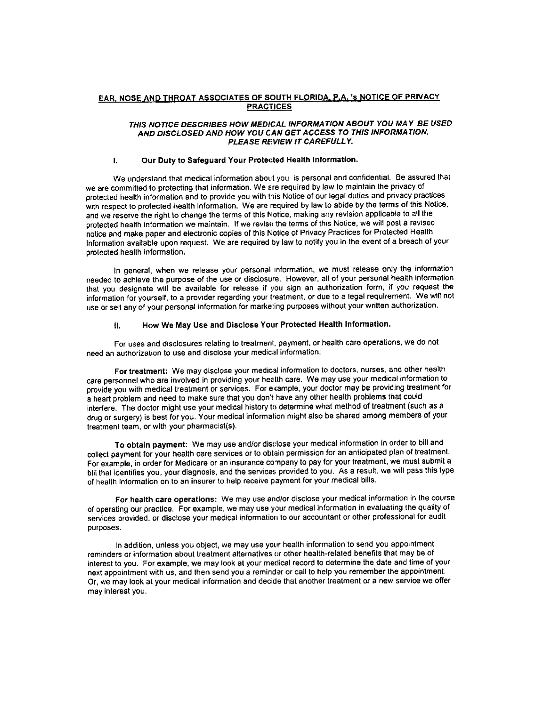#### EAR, NOSE AND THROAT ASSOCIATES OF SOUTH FLORIDA, P.A. 'S NOTICE OF PRIVACY **PRACTICES**

#### THIS NOTICE DESCRIBES HOW MEDICAL INFORMATION ABOUT YOU MAY BE USED AND DISCLOSED AND HOW YOU CAN GET ACCESS TO THIS INFORMATION. PLEASE REVIEW IT CAREFULLY.

#### $\mathbf{L}$ Our Duty to Safeguard Your Protected Health Information.

We understand that medical information about you is personal and confidential. Be assured that we are committed to protecting that information. We are required by law to maintain the privacy of protected health information and to provide you with this Notice of our legal duties and privacy practices with respect to protected health information. We are required by law to abide by the terms of this Notice, and we reserve the right to change the terms of this Notice, making any revision applicable to all the protected health information we maintain. If we revise the terms of this Notice, we will post a revised notice and make paper and electronic copies of this Notice of Privacy Practices for Protected Health Information available upon request. We are required by law to notify you in the event of a breach of your protected health information.

In general, when we release your personal information, we must release only the information needed to achieve the purpose of the use or disclosure. However, all of your personal health information that you designate will be available for release if you sign an authorization form, if you request the information for yourself, to a provider regarding your treatment, or due to a legal requirement. We will not use or sell any of your personal information for marketing purposes without your written authorization.

#### How We May Use and Disclose Your Protected Health Information.  $\mathbf{H}$ .

For uses and disclosures relating to treatment, payment, or health care operations, we do not need an authorization to use and disclose your medical information:

For treatment: We may disclose your medical information to doctors, nurses, and other health care personnel who are involved in providing your health care. We may use your medical information to provide you with medical treatment or services. For example, your doctor may be providing treatment for a heart problem and need to make sure that you don't have any other health problems that could interfere. The doctor might use your medical history to determine what method of treatment (such as a drug or surgery) is best for you. Your medical information might also be shared among members of your treatment team, or with your pharmacist(s).

To obtain payment: We may use and/or disclose your medical information in order to bill and collect payment for your health care services or to obtain permission for an anticipated plan of treatment. For example, in order for Medicare or an insurance company to pay for your treatment, we must submit a bill that identifies you, your diagnosis, and the services provided to you. As a result, we will pass this type of health information on to an insurer to help receive payment for your medical bills.

For health care operations: We may use and/or disclose your medical information in the course of operating our practice. For example, we may use your medical information in evaluating the quality of services provided, or disclose your medical information to our accountant or other professional for audit purposes.

In addition, unless you object, we may use your health information to send you appointment reminders or information about treatment alternatives or other health-related benefits that may be of interest to you. For example, we may look at your medical record to determine the date and time of your next appointment with us, and then send you a reminder or call to help you remember the appointment. Or, we may look at your medical information and decide that another treatment or a new service we offer may interest you.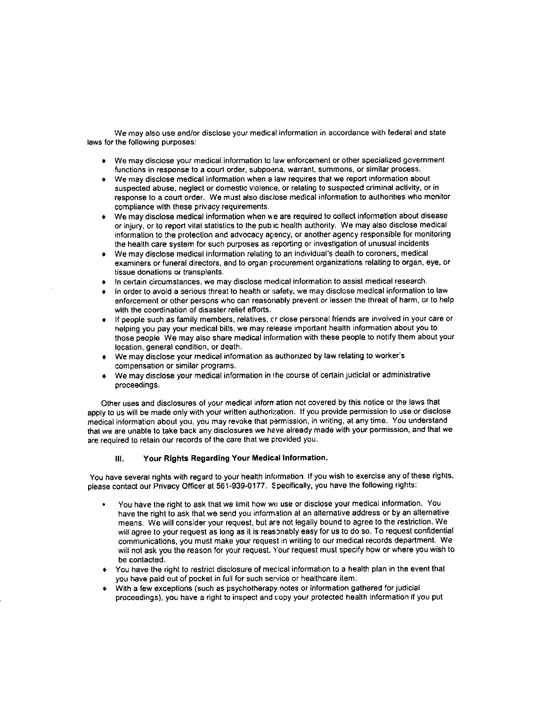We may also use and/or disclose your medical information in accordance with federal and state laws for the following purposes:

- . We may disclose your medical informalion lo law enforcement or other specialized govemment functions in response to a court order, subpoena, warrant, summons, or similar process.
- We may disclose medical information when a law requires that we report information about suspected abuse, neglect or domestic violence, or relating to suspected criminal activity, or in response to a court order. We must also disclose medical information to authorities who monitor compliance with these privacy requirements.
- We may disclose medical information when we are required to collect information about disease or injury, or to report vital statistics to the public health authority. We may also disclose medical information to the protection and advocacy agency, or another agency responsible for monitoring the health care system for such purposes as reporting or investigation of unusual incidents
- . We may disclose medical information relating to an individuai's death to coroners. medical examiners or funeral directors, and to organ procurement organizations relating to organ, eye, or tissue donations or transplants.
- In certain circumstances, we may disclose medical information to assist medical research.
- In order to avoid a serious threat to health or safety, we may disclose medical information to law enforcement or other persons who can reasonably prevent or lessen the threat of harm, or to help with the coordination of disaster relief efforts.
- If people such as family members, relatives, cr close personal friends are involved in your care or helping you pay your medical bills, we may release important health information about you to those people We may also share medical information with these people to notify them about your location, general condition, or death.
- a We may disclose your medical information as authorized by law relating to worker's compensation or similar programs.
- We may disclose your medical information in the course of certain judicial or administrative proceedings.

Other uses and disclosures of your medical information not covered by this notice or the laws that apply to us will be made only with your written authorization. If you provide permission to use or disclose medical information about you, you may revoke that permission, in writing, at any time. You understand that we are unable to take back any disclosures we have already made with your permission, and that we are required to retain our reoords of lhe care that we provided you.

#### lll. Your Rlghts Regardlng Your Medlcal lnformalion.

You have several rights with regard to your health information. If you wish to exercise any of these rights, please contact our Privacy Officer at 561-939-0177. Specifically, you have the following rights:

- You have the right to ask that we limit how we use or disclose your medical information. You have the right lo ask that we send you informalion al an allernative address or by an alternative means. We will consider your request, but are not legally bound to agree to the restriction. We will agree to your request as long as it is reasonably easy for us to do so. To request confidential communications, you must make your request in wnting to our medical records deparlment. We will not ask you the reason for your request. Your request must specify how or where you wish to be contacted.
- + You have the right to restrict disclosure of mecical information to a health plan in the event thal you have paid out of pocket in full for such service or healthcare item.
- With a few exceptions (such as psychotherapy notes or information gathered for judicial proceedings), you haye a right to inspecl and copy your protected heallh information if you put a